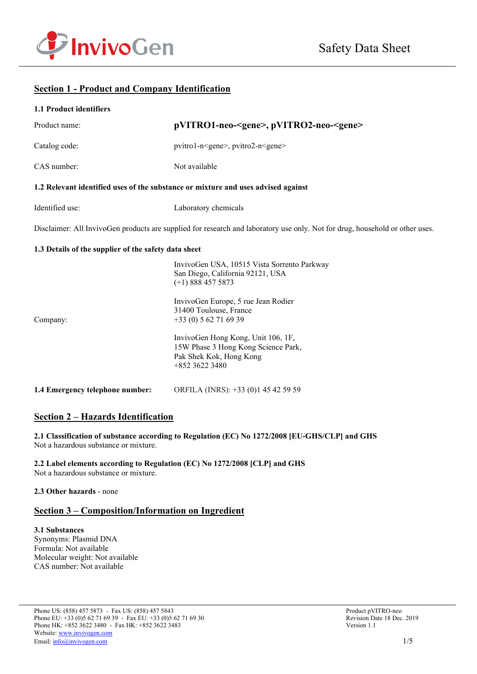

# **Section 1 - Product and Company Identification**

| 1.1 Product identifiers                              |                                                                                                                              |  |  |
|------------------------------------------------------|------------------------------------------------------------------------------------------------------------------------------|--|--|
| Product name:                                        | pVITRO1-neo- <gene>, pVITRO2-neo-<gene></gene></gene>                                                                        |  |  |
| Catalog code:                                        | pvitro1-n <gene>, pvitro2-n<gene></gene></gene>                                                                              |  |  |
| CAS number:                                          | Not available                                                                                                                |  |  |
|                                                      | 1.2 Relevant identified uses of the substance or mixture and uses advised against                                            |  |  |
| Identified use:                                      | Laboratory chemicals                                                                                                         |  |  |
|                                                      | Disclaimer: All InvivoGen products are supplied for research and laboratory use only. Not for drug, household or other uses. |  |  |
| 1.3 Details of the supplier of the safety data sheet |                                                                                                                              |  |  |
|                                                      | InvivoGen USA, 10515 Vista Sorrento Parkway<br>San Diego, California 92121, USA<br>$(+1)$ 888 457 5873                       |  |  |
| Company:                                             | InvivoGen Europe, 5 rue Jean Rodier<br>31400 Toulouse, France<br>$+33(0) 562716939$                                          |  |  |
|                                                      | InvivoGen Hong Kong, Unit 106, 1F,<br>15W Phase 3 Hong Kong Science Park,<br>Pak Shek Kok, Hong Kong<br>+852 3622 3480       |  |  |
| 1.4 Emergency telephone number:                      | ORFILA (INRS): +33 (0)1 45 42 59 59                                                                                          |  |  |

# **Section 2 – Hazards Identification**

**2.1 Classification of substance according to Regulation (EC) No 1272/2008 [EU-GHS/CLP] and GHS** Not a hazardous substance or mixture.

**2.2 Label elements according to Regulation (EC) No 1272/2008 [CLP] and GHS** Not a hazardous substance or mixture.

### **2.3 Other hazards** - none

# **Section 3 – Composition/Information on Ingredient**

**3.1 Substances** Synonyms: Plasmid DNA Formula: Not available Molecular weight: Not available CAS number: Not available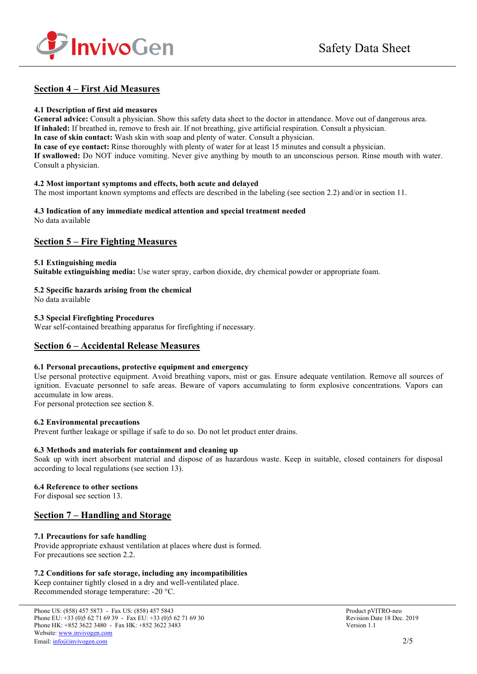

# **Section 4 – First Aid Measures**

### **4.1 Description of first aid measures**

**General advice:** Consult a physician. Show this safety data sheet to the doctor in attendance. Move out of dangerous area. **If inhaled:** If breathed in, remove to fresh air. If not breathing, give artificial respiration. Consult a physician. **In case of skin contact:** Wash skin with soap and plenty of water. Consult a physician. **In case of eye contact:** Rinse thoroughly with plenty of water for at least 15 minutes and consult a physician.

**If swallowed:** Do NOT induce vomiting. Never give anything by mouth to an unconscious person. Rinse mouth with water. Consult a physician.

### **4.2 Most important symptoms and effects, both acute and delayed**

The most important known symptoms and effects are described in the labeling (see section 2.2) and/or in section 11.

#### **4.3 Indication of any immediate medical attention and special treatment needed** No data available

# **Section 5 – Fire Fighting Measures**

### **5.1 Extinguishing media**

**Suitable extinguishing media:** Use water spray, carbon dioxide, dry chemical powder or appropriate foam.

## **5.2 Specific hazards arising from the chemical**

No data available

### **5.3 Special Firefighting Procedures**

Wear self-contained breathing apparatus for firefighting if necessary.

# **Section 6 – Accidental Release Measures**

### **6.1 Personal precautions, protective equipment and emergency**

Use personal protective equipment. Avoid breathing vapors, mist or gas. Ensure adequate ventilation. Remove all sources of ignition. Evacuate personnel to safe areas. Beware of vapors accumulating to form explosive concentrations. Vapors can accumulate in low areas.

For personal protection see section 8.

## **6.2 Environmental precautions**

Prevent further leakage or spillage if safe to do so. Do not let product enter drains.

### **6.3 Methods and materials for containment and cleaning up**

Soak up with inert absorbent material and dispose of as hazardous waste. Keep in suitable, closed containers for disposal according to local regulations (see section 13).

### **6.4 Reference to other sections**

For disposal see section 13.

# **Section 7 – Handling and Storage**

## **7.1 Precautions for safe handling**

Provide appropriate exhaust ventilation at places where dust is formed. For precautions see section 2.2.

## **7.2 Conditions for safe storage, including any incompatibilities**

Keep container tightly closed in a dry and well-ventilated place. Recommended storage temperature: -20 °C.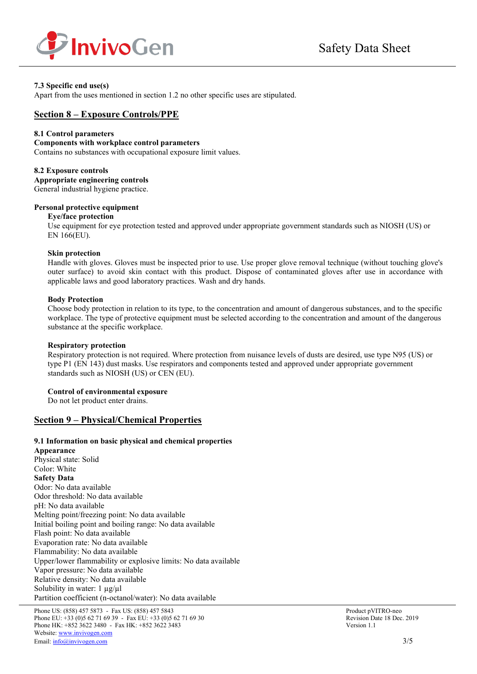

## **7.3 Specific end use(s)**

Apart from the uses mentioned in section 1.2 no other specific uses are stipulated.

# **Section 8 – Exposure Controls/PPE**

### **8.1 Control parameters**

#### **Components with workplace control parameters**

Contains no substances with occupational exposure limit values.

#### **8.2 Exposure controls**

**Appropriate engineering controls** General industrial hygiene practice.

### **Personal protective equipment**

#### **Eye/face protection**

Use equipment for eye protection tested and approved under appropriate government standards such as NIOSH (US) or EN 166(EU).

#### **Skin protection**

Handle with gloves. Gloves must be inspected prior to use. Use proper glove removal technique (without touching glove's outer surface) to avoid skin contact with this product. Dispose of contaminated gloves after use in accordance with applicable laws and good laboratory practices. Wash and dry hands.

### **Body Protection**

Choose body protection in relation to its type, to the concentration and amount of dangerous substances, and to the specific workplace. The type of protective equipment must be selected according to the concentration and amount of the dangerous substance at the specific workplace.

### **Respiratory protection**

Respiratory protection is not required. Where protection from nuisance levels of dusts are desired, use type N95 (US) or type P1 (EN 143) dust masks. Use respirators and components tested and approved under appropriate government standards such as NIOSH (US) or CEN (EU).

### **Control of environmental exposure**

Do not let product enter drains.

## **Section 9 – Physical/Chemical Properties**

### **9.1 Information on basic physical and chemical properties**

**Appearance** Physical state: Solid Color: White **Safety Data** Odor: No data available Odor threshold: No data available pH: No data available Melting point/freezing point: No data available Initial boiling point and boiling range: No data available Flash point: No data available Evaporation rate: No data available Flammability: No data available Upper/lower flammability or explosive limits: No data available Vapor pressure: No data available Relative density: No data available Solubility in water:  $1 \mu g / \mu l$ Partition coefficient (n-octanol/water): No data available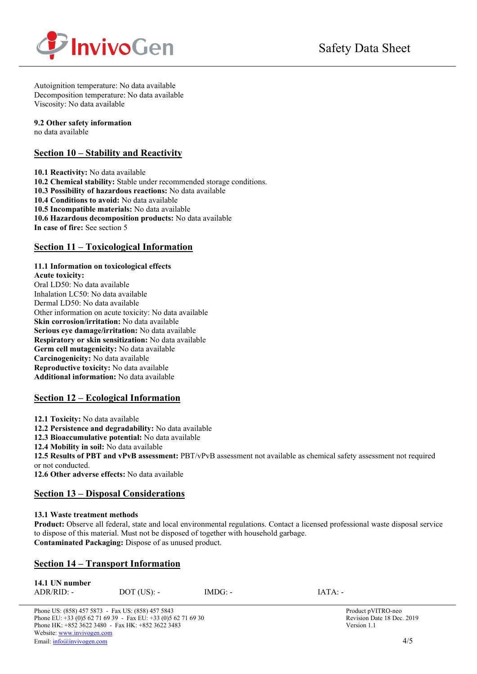

Autoignition temperature: No data available Decomposition temperature: No data available Viscosity: No data available

### **9.2 Other safety information**

no data available

# **Section 10 – Stability and Reactivity**

**10.1 Reactivity:** No data available **10.2 Chemical stability:** Stable under recommended storage conditions. **10.3 Possibility of hazardous reactions:** No data available **10.4 Conditions to avoid:** No data available **10.5 Incompatible materials:** No data available **10.6 Hazardous decomposition products:** No data available **In case of fire:** See section 5

# **Section 11 – Toxicological Information**

## **11.1 Information on toxicological effects**

**Acute toxicity:** Oral LD50: No data available Inhalation LC50: No data available Dermal LD50: No data available Other information on acute toxicity: No data available **Skin corrosion/irritation:** No data available **Serious eye damage/irritation:** No data available **Respiratory or skin sensitization:** No data available **Germ cell mutagenicity:** No data available **Carcinogenicity:** No data available **Reproductive toxicity:** No data available **Additional information:** No data available

# **Section 12 – Ecological Information**

**12.1 Toxicity:** No data available

**12.2 Persistence and degradability:** No data available

**12.3 Bioaccumulative potential:** No data available

**12.4 Mobility in soil:** No data available

**12.5 Results of PBT and vPvB assessment:** PBT/vPvB assessment not available as chemical safety assessment not required or not conducted.

**12.6 Other adverse effects:** No data available

# **Section 13 – Disposal Considerations**

## **13.1 Waste treatment methods**

**Product:** Observe all federal, state and local environmental regulations. Contact a licensed professional waste disposal service to dispose of this material. Must not be disposed of together with household garbage. **Contaminated Packaging:** Dispose of as unused product.

# **Section 14 – Transport Information**

| 14.1 UN number |               |           |           |
|----------------|---------------|-----------|-----------|
| $ADR/RID: -$   | $DOT$ (US): - | $IMDG: -$ | $IATA: -$ |

Phone US: (858) 457 5873 - Fax US: (858) 457 5843<br>
Phone EU: +33 (0)5 62 71 69 39 - Fax EU: +33 (0)5 62 71 69 30<br>
Revision Date 18 Dec. 2019 Phone EU:  $+33(0)562716939$  - Fax EU:  $+33(0)562716930$ Phone HK: +852 3622 3480 - Fax HK: +852 3622 3483 Version 1.1 Website[: www.invivogen.com](http://www.invivogen.com/) Email[: info@invivogen.com](mailto:info@invivogen.com) 4/5